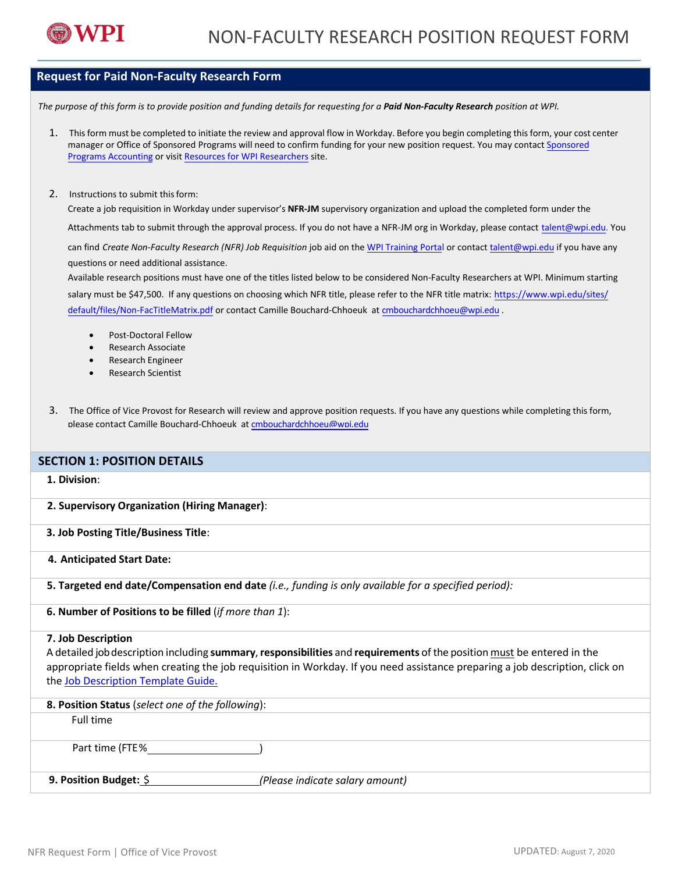

# **Request for Paid Non-Faculty Research Form**

*The purpose of this form is to provide position and funding details for requesting for a Paid Non-Faculty Research position at WPI.*

- 1. Thisform must be completed to initiate the review and approval flow in Workday. Before you begin completing this form, your cost center manager or Office of Sponsored Programs will need to confirm funding for your new position request. You may contact [Sponsored](https://www.wpi.edu/offices/sponsored-programs-accounting)  [Programs Accounting](https://www.wpi.edu/offices/sponsored-programs-accounting) or visit [Resources for WPI Researchers](https://www.wpi.edu/research/resources) site.
- 2. Instructions to submit this form:

Create a job requisition in Workday under supervisor's **NFR-JM** supervisory organization and upload the completed form under the

Attachments tab to submit through the approval process. If you do not have a NFR-JM org in Workday, please contact [talent@wpi.edu.](mailto:talent@wpi.edu) You

can find *Create Non-Faculty Research (NFR) Job Requisition* job aid on the [WPI Training](https://wpi0.sharepoint.com/sitepages/workdayhr.aspx) Portal or conta[ct talent@wpi.edu](mailto:talent@wpi.edu) if you have any questions or need additional assistance.

Available research positions must have one of the titles listed below to be considered Non-Faculty Researchers at WPI. Minimum starting salary must be \$47,500. [If any questions on choosing which NFR title,](https://nam03.safelinks.protection.outlook.com/?url=https%3A%2F%2Fwww.wpi.edu%2Fsites%2Fdefault%2Ffiles%2FNon-FacTitleMatrix.pdf&data=02%7C01%7Crcgardner%40wpi.edu%7Cc103c8690b3c491f564708d83af59313%7C589c76f5ca1541f9884b55ec15a0672a%7C0%7C0%7C637324173690573814&sdata=WZ4hsxjkBFWssJCpcvXKVqfIU6aQET5llCxvEkp%2FX1k%3D&reserved=0) please refer to the NFR title matrix: https://www.wpi.edu/sites/ default/files/Non-FacTitleMatrix.pdf or contact Camille Bouchard-Chhoeuk at [cmbouchardchhoeu@wpi.edu](mailto:cmbouchardchhoeu@wpi.edu) .

- Post-Doctoral Fellow
- Research Associate
- Research Engineer
- Research Scientist
- 3. The Office of Vice Provost for Research will review and approve position requests. If you have any questions while completing this form, please contact Camille Bouchard-Chhoeuk at [cmbouchardchhoeu@wpi.edu](mailto:cmbouchardchhoeu@wpi.edu)

# **SECTION 1: POSITION DETAILS**

### **1. Division**:

**2. Supervisory Organization (Hiring Manager)**:

## **3. Job Posting Title/Business Title**:

- **4. Anticipated Start Date:**
- **5. Targeted end date/Compensation end date** *(i.e., funding is only available for a specified period):*
- **6. Number of Positions to be filled** (*if more than 1*):

#### **7. Job Description**

A detailed jobdescription including **summary**, **responsibilities** and **requirements** of the position must be entered in the appropriate fields when creating the job requisition in Workday. If you need assistance preparing a job description, click on th[e Job Description Template Guide.](https://wpi0.sharepoint.com/Shared%20Documents/Job%20Description%20Template%20Guide_T%26I.pdf)

| 8. Position Status (select one of the following): |                                 |
|---------------------------------------------------|---------------------------------|
| Full time                                         |                                 |
|                                                   |                                 |
| Part time (FTE%                                   |                                 |
|                                                   |                                 |
| 9. Position Budget: \$                            | (Please indicate salary amount) |